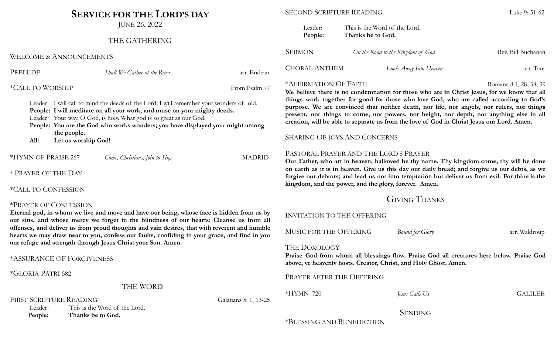# **SERVICE FOR THE LORD'S DAY**

JUNE 26, 2022

# THE GATHERING

WELCOME & ANNOUNCEMENTS

| ۹<br>٦. |
|---------|
|---------|

*Shall We Gather at the River* and *shall We Gather at the River* arr. Endean

\*CALL TO WORSHIP From Psalm 77

Leader: I will call to mind the deeds of the Lord; I will remember your wonders of old. **People: I will meditate on all your work, and muse on your mighty deeds.** Leader: Your way, O God, is holy. What god is so great as our God?

**People: You are the God who works wonders; you have displayed your might among the people.**

**All: Let us worship God!**

\*HYMN OF PRAISE 267 *Come, Christians, Join to Sing* MADRID

\* PRAYER OF THE DAY

# \*CALL TO CONFESSION

#### \*PRAYER OF CONFESSION

**Eternal god, in whom we live and move and have our being, whose face is hidden from us by our sins, and whose mercy we forget in the blindness of our hearts: Cleanse us from all offenses, and deliver us from proud thoughts and vain desires, that with reverent and humble hearts we may draw near to you, confess our faults, confiding in your grace, and find in you our refuge and strength through Jesus Christ your Son. Amen.**

\*ASSURANCE OF FORGIVENESS

\*GLORIA PATRI 582

THE WORD

FIRST SCRIPTURE READING Galatians 5: 1, 13-25

Leader: This is the Word of the Lord. **People: Thanks be to God.**

#### SECOND SCRIPTURE READING LUKE 1 2008 Luke 9: 51-62

| Leader:<br>People:   | This is the Word of the Lord.<br>Thanks be to God. |                    |
|----------------------|----------------------------------------------------|--------------------|
| <b>SERMON</b>        | On the Road to the Kingdom of God                  | Rev. Bill Buchanan |
| <b>CHORAL ANTHEM</b> | Look Away Into Heaven                              | arr. Tate          |

#### \*AFFIRMATION OF FAITH Romans 8:1, 28, 38, 39

**We believe there is no condemnation for those who are in Christ Jesus, for we know that all things work together for good for those who love God, who are called according to God's purpose. We are convinced that neither death, nor life, nor angels, nor rulers, nor things present, nor things to come, nor powers, nor height, nor depth, nor anything else in all creation, will be able to separate us from the love of God in Christ Jesus our Lord. Amen.**

## SHARING OF JOYS AND CONCERNS

## PASTORAL PRAYER AND THE LORD'S PRAYER

**Our Father, who art in heaven, hallowed be thy name. Thy kingdom come, thy will be done** on earth as it is in heaven. Give us this day our daily bread; and forgive us our debts, as we **forgive our debtors; and lead us not into temptation but deliver us from evil. For thine is the kingdom, and the power, and the glory, forever. Amen.**

# GIVING THANKS

INVITATION TO THE OFFERING

MUSIC FOR THE OFFERING *Bound for Glory* arr. Waldroup

#### THE DOXOLOGY

**Praise God from whom all blessings flow. Praise God all creatures here below. Praise God above, ye heavenly hosts. Creator, Christ, and Holy Ghost. Amen.**

PRAYER AFTER THE OFFERING

\*HYMN 720 *Jesus Calls Us* GALILEE

**SENDING** 

\*BLESSING AND BENEDICTION